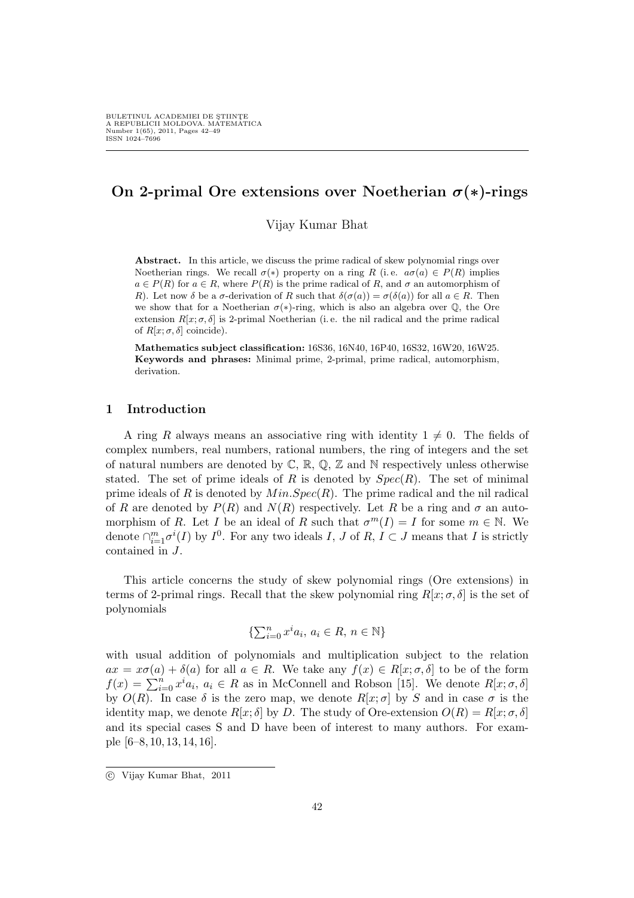# On 2-primal Ore extensions over Noetherian  $\sigma(*)$ -rings

Vijay Kumar Bhat

Abstract. In this article, we discuss the prime radical of skew polynomial rings over Noetherian rings. We recall  $\sigma(*)$  property on a ring R (i.e.  $a\sigma(a) \in P(R)$  implies  $a \in P(R)$  for  $a \in R$ , where  $P(R)$  is the prime radical of R, and  $\sigma$  an automorphism of R). Let now  $\delta$  be a  $\sigma$ -derivation of R such that  $\delta(\sigma(a)) = \sigma(\delta(a))$  for all  $a \in R$ . Then we show that for a Noetherian  $\sigma(*)$ -ring, which is also an algebra over Q, the Ore extension  $R[x; \sigma, \delta]$  is 2-primal Noetherian (i.e. the nil radical and the prime radical of  $R[x; \sigma, \delta]$  coincide).

Mathematics subject classification: 16S36, 16N40, 16P40, 16S32, 16W20, 16W25. Keywords and phrases: Minimal prime, 2-primal, prime radical, automorphism, derivation.

## 1 Introduction

A ring R always means an associative ring with identity  $1 \neq 0$ . The fields of complex numbers, real numbers, rational numbers, the ring of integers and the set of natural numbers are denoted by  $\mathbb{C}$ ,  $\mathbb{R}$ ,  $\mathbb{Q}$ ,  $\mathbb{Z}$  and N respectively unless otherwise stated. The set of prime ideals of R is denoted by  $Spec(R)$ . The set of minimal prime ideals of R is denoted by  $Min.Spec(R)$ . The prime radical and the nil radical of R are denoted by  $P(R)$  and  $N(R)$  respectively. Let R be a ring and  $\sigma$  an automorphism of R. Let I be an ideal of R such that  $\sigma^{m}(I) = I$  for some  $m \in \mathbb{N}$ . We denote  $\bigcap_{i=1}^m \sigma^i(I)$  by  $I^0$ . For any two ideals  $I, J$  of  $R, I \subset J$  means that I is strictly contained in J.

This article concerns the study of skew polynomial rings (Ore extensions) in terms of 2-primal rings. Recall that the skew polynomial ring  $R[x; \sigma, \delta]$  is the set of polynomials

$$
\{\sum_{i=0}^{n} x^i a_i, a_i \in R, n \in \mathbb{N}\}\
$$

with usual addition of polynomials and multiplication subject to the relation  $ax = x\sigma(a) + \delta(a)$  for all  $a \in R$ . We take any  $f(x) \in R[x; \sigma, \delta]$  to be of the form  $dx = x\sigma(u) + \sigma(u)$  for an  $u \in \mathbb{R}$ . We take any  $f(x) \in R[x; \sigma, \sigma]$  to be or the form  $f(x) = \sum_{i=0}^{n} x^{i} a_{i}, a_{i} \in \mathbb{R}$  as in McConnell and Robson [15]. We denote  $R[x; \sigma, \delta]$ by  $O(R)$ . In case  $\delta$  is the zero map, we denote  $R[x; \sigma]$  by S and in case  $\sigma$  is the identity map, we denote  $R[x; \delta]$  by D. The study of Ore-extension  $O(R) = R[x; \sigma, \delta]$ and its special cases S and D have been of interest to many authors. For example [6–8, 10, 13, 14, 16].

<sup>°</sup>c Vijay Kumar Bhat, 2011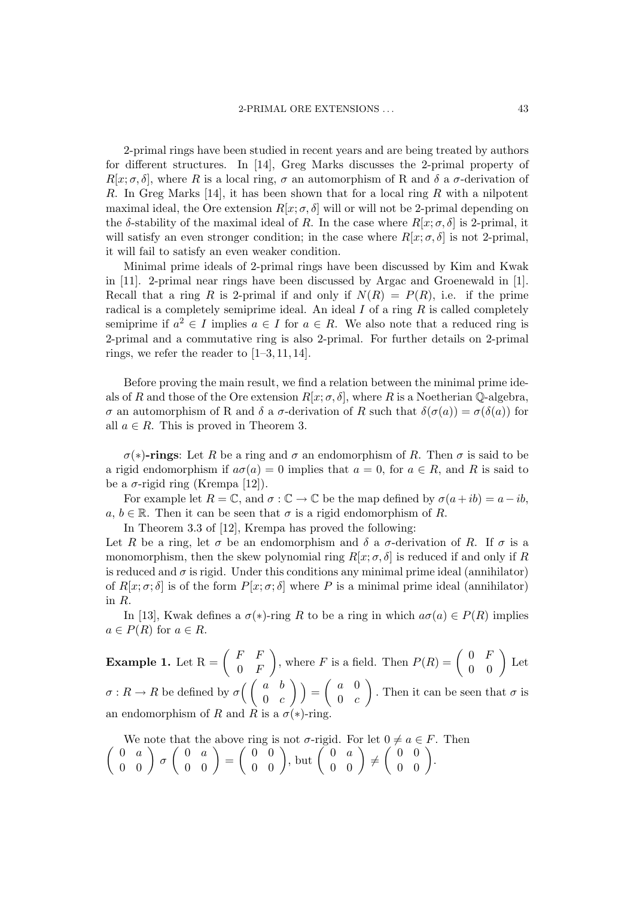2-primal rings have been studied in recent years and are being treated by authors for different structures. In [14], Greg Marks discusses the 2-primal property of  $R[x; \sigma, \delta]$ , where R is a local ring,  $\sigma$  an automorphism of R and  $\delta$  a  $\sigma$ -derivation of R. In Greg Marks [14], it has been shown that for a local ring R with a nilpotent maximal ideal, the Ore extension  $R[x; \sigma, \delta]$  will or will not be 2-primal depending on the δ-stability of the maximal ideal of R. In the case where  $R[x; \sigma, \delta]$  is 2-primal, it will satisfy an even stronger condition; in the case where  $R[x; \sigma, \delta]$  is not 2-primal, it will fail to satisfy an even weaker condition.

Minimal prime ideals of 2-primal rings have been discussed by Kim and Kwak in [11]. 2-primal near rings have been discussed by Argac and Groenewald in [1]. Recall that a ring R is 2-primal if and only if  $N(R) = P(R)$ , i.e. if the prime radical is a completely semiprime ideal. An ideal  $I$  of a ring  $R$  is called completely semiprime if  $a^2 \in I$  implies  $a \in I$  for  $a \in R$ . We also note that a reduced ring is 2-primal and a commutative ring is also 2-primal. For further details on 2-primal rings, we refer the reader to  $[1-3, 11, 14]$ .

Before proving the main result, we find a relation between the minimal prime ideals of R and those of the Ore extension  $R[x; \sigma, \delta]$ , where R is a Noetherian Q-algebra, σ an automorphism of R and δ a σ-derivation of R such that δ(σ(a)) = σ(δ(a)) for all  $a \in R$ . This is proved in Theorem 3.

 $\sigma(*)$ -rings: Let R be a ring and  $\sigma$  an endomorphism of R. Then  $\sigma$  is said to be a rigid endomorphism if  $a\sigma(a) = 0$  implies that  $a = 0$ , for  $a \in R$ , and R is said to be a  $\sigma$ -rigid ring (Krempa [12]).

For example let  $R = \mathbb{C}$ , and  $\sigma : \mathbb{C} \to \mathbb{C}$  be the map defined by  $\sigma(a+ib) = a-ib$ ,  $a, b \in \mathbb{R}$ . Then it can be seen that  $\sigma$  is a rigid endomorphism of R.

In Theorem 3.3 of [12], Krempa has proved the following:

Let R be a ring, let  $\sigma$  be an endomorphism and  $\delta$  a  $\sigma$ -derivation of R. If  $\sigma$  is a monomorphism, then the skew polynomial ring  $R[x; \sigma, \delta]$  is reduced if and only if R is reduced and  $\sigma$  is rigid. Under this conditions any minimal prime ideal (annihilator) of  $R[x; \sigma; \delta]$  is of the form  $P[x; \sigma; \delta]$  where P is a minimal prime ideal (annihilator) in R.

In [13], Kwak defines a  $\sigma(*)$ -ring R to be a ring in which  $a\sigma(a) \in P(R)$  implies  $a \in P(R)$  for  $a \in R$ .

**Example 1.** Let  $R = \begin{pmatrix} F & F \\ 0 & F \end{pmatrix}$  $0$  F ), where F is a field. Then  $P(R) = \begin{pmatrix} 0 & F \\ 0 & 0 \end{pmatrix}$  $\begin{pmatrix} 0 & F \\ 0 & 0 \end{pmatrix}$  Let  $\sigma: R \to R$  be defined by  $\sigma$  $\begin{array}{c} a \end{array}$ <br> $\begin{array}{c} a \end{array}$  $0 \quad c$  $\sqrt{2}$ =  $\overline{a}$ a 0  $0 \quad c$  $\mathbf{r}$ . Then it can be seen that  $\sigma$  is an endomorphism of R and R is a  $\sigma(*)$ -ring.

 $\overline{a}$ We note that the above ring is not  $\sigma$ -rigid. For let  $0 \neq a \in F$ . Then  $0 \quad a$ We note that the  $\begin{pmatrix} 0 & a \\ 0 & 0 \end{pmatrix} \sigma \begin{pmatrix} 0 & a \\ 0 & 0 \end{pmatrix}$  $\begin{pmatrix} 0 & a \ 0 & 0 \end{pmatrix} = \begin{pmatrix} 0 & 0 \ 0 & 0 \end{pmatrix}$  $\begin{pmatrix} 0 & 0 \\ 0 & 0 \end{pmatrix}$ , but  $\begin{pmatrix} 0 & a \\ 0 & 0 \end{pmatrix}$ d. For let  $0 \neq a \in$ <br>  $\begin{pmatrix} 0 & a \\ 0 & 0 \end{pmatrix} \neq \begin{pmatrix} 0 & 0 \\ 0 & 0 \end{pmatrix}$  $a \in F$ .<br>  $\begin{pmatrix} 0 & 0 \\ 0 & 0 \end{pmatrix}$ .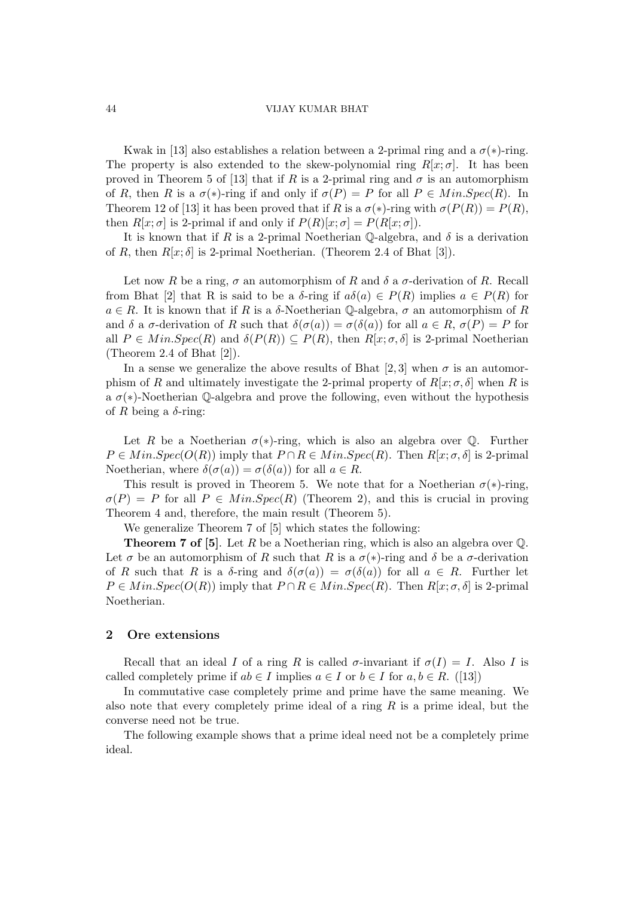#### 44 VIJAY KUMAR BHAT

Kwak in [13] also establishes a relation between a 2-primal ring and a  $\sigma(*)$ -ring. The property is also extended to the skew-polynomial ring  $R[x; \sigma]$ . It has been proved in Theorem 5 of [13] that if R is a 2-primal ring and  $\sigma$  is an automorphism of R, then R is a  $\sigma(*)$ -ring if and only if  $\sigma(P) = P$  for all  $P \in Min.Spec(R)$ . In Theorem 12 of [13] it has been proved that if R is a  $\sigma(*)$ -ring with  $\sigma(P(R)) = P(R)$ , then  $R[x; \sigma]$  is 2-primal if and only if  $P(R)[x; \sigma] = P(R[x; \sigma])$ .

It is known that if R is a 2-primal Noetherian Q-algebra, and  $\delta$  is a derivation of R, then  $R[x; \delta]$  is 2-primal Noetherian. (Theorem 2.4 of Bhat [3]).

Let now R be a ring,  $\sigma$  an automorphism of R and  $\delta$  a  $\sigma$ -derivation of R. Recall from Bhat [2] that R is said to be a  $\delta$ -ring if  $a\delta(a) \in P(R)$  implies  $a \in P(R)$  for  $a \in R$ . It is known that if R is a  $\delta$ -Noetherian Q-algebra,  $\sigma$  an automorphism of R and  $\delta$  a  $\sigma$ -derivation of R such that  $\delta(\sigma(a)) = \sigma(\delta(a))$  for all  $a \in R$ ,  $\sigma(P) = P$  for all  $P \in Min.Spec(R)$  and  $\delta(P(R)) \subseteq P(R)$ , then  $R[x; \sigma, \delta]$  is 2-primal Noetherian (Theorem 2.4 of Bhat [2]).

In a sense we generalize the above results of Bhat [2, 3] when  $\sigma$  is an automorphism of R and ultimately investigate the 2-primal property of  $R[x; \sigma, \delta]$  when R is a  $\sigma(*)$ -Noetherian Q-algebra and prove the following, even without the hypothesis of R being a  $\delta$ -ring:

Let R be a Noetherian  $\sigma(*)$ -ring, which is also an algebra over  $\mathbb Q$ . Further  $P \in Min.Spec(O(R))$  imply that  $P \cap R \in Min.Spec(R)$ . Then  $R[x; \sigma, \delta]$  is 2-primal Noetherian, where  $\delta(\sigma(a)) = \sigma(\delta(a))$  for all  $a \in R$ .

This result is proved in Theorem 5. We note that for a Noetherian  $\sigma(*)$ -ring,  $\sigma(P) = P$  for all  $P \in Min.Spec(R)$  (Theorem 2), and this is crucial in proving Theorem 4 and, therefore, the main result (Theorem 5).

We generalize Theorem 7 of [5] which states the following:

**Theorem 7 of [5].** Let R be a Noetherian ring, which is also an algebra over  $\mathbb{Q}$ . Let  $\sigma$  be an automorphism of R such that R is a  $\sigma(*)$ -ring and  $\delta$  be a  $\sigma$ -derivation of R such that R is a  $\delta$ -ring and  $\delta(\sigma(a)) = \sigma(\delta(a))$  for all  $a \in R$ . Further let  $P \in Min.Spec(O(R))$  imply that  $P \cap R \in Min.Spec(R)$ . Then  $R[x; \sigma, \delta]$  is 2-primal Noetherian.

# 2 Ore extensions

Recall that an ideal I of a ring R is called  $\sigma$ -invariant if  $\sigma(I) = I$ . Also I is called completely prime if  $ab \in I$  implies  $a \in I$  or  $b \in I$  for  $a, b \in R$ . ([13])

In commutative case completely prime and prime have the same meaning. We also note that every completely prime ideal of a ring  $R$  is a prime ideal, but the converse need not be true.

The following example shows that a prime ideal need not be a completely prime ideal.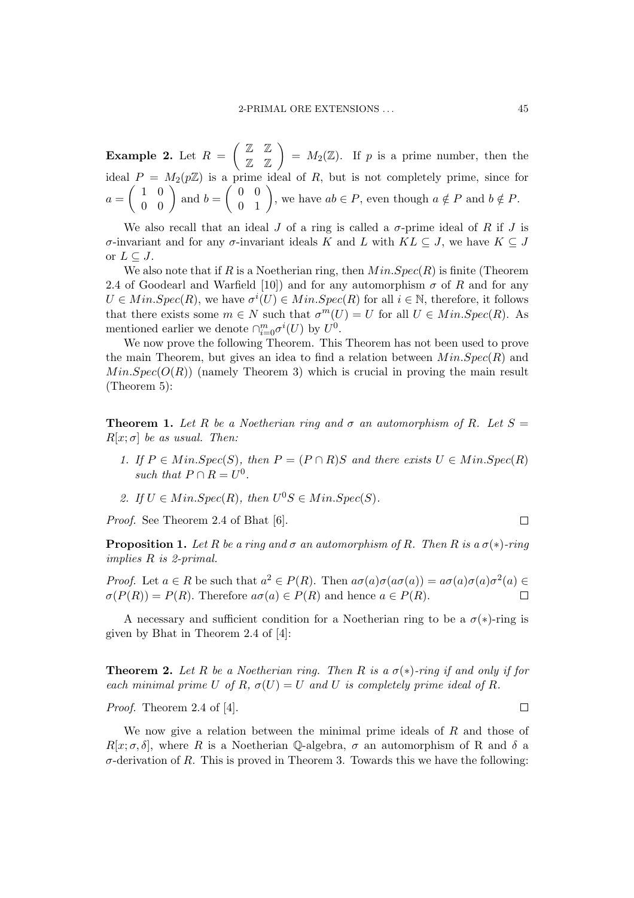Example 2. Let  $R =$  $\overline{a}$ Z Z  $\begin{pmatrix} \mathbb{Z} & \mathbb{Z} \\ \mathbb{Z} & \mathbb{Z} \end{pmatrix} = M_2(\mathbb{Z})$ . If p is a prime number, then the ideal  $P = M_2(p\mathbb{Z})$  is a prime ideal of R, but is not completely prime, since for  $a=\left(\begin{array}{cc} 1 & 0 \\ 0 & 0 \end{array}\right)$  $\begin{pmatrix} 0 \\ 0 \\ 0 \end{pmatrix}$  and  $b = \begin{pmatrix} 0 & 0 \\ 0 & 1 \end{pmatrix}$ Filme ideal of  $R$ , but is not completely prime, since re<br>  $\begin{pmatrix} 0 & 0 \\ 0 & 1 \end{pmatrix}$ , we have  $ab \in P$ , even though  $a \notin P$  and  $b \notin P$ .

We also recall that an ideal J of a ring is called a  $\sigma$ -prime ideal of R if J is σ-invariant and for any σ-invariant ideals K and L with  $KL \subseteq J$ , we have  $K \subseteq J$ or  $L \subseteq J$ .

We also note that if R is a Noetherian ring, then  $Min.Spec(R)$  is finite (Theorem 2.4 of Goodearl and Warfield [10]) and for any automorphism  $\sigma$  of R and for any  $U \in Min.Spec(R)$ , we have  $\sigma^{i}(U) \in Min.Spec(R)$  for all  $i \in \mathbb{N}$ , therefore, it follows that there exists some  $m \in N$  such that  $\sigma^{m}(U) = U$  for all  $U \in Min.Spec(R)$ . As mentioned earlier we denote  $\cap_{i=0}^m \sigma^i(U)$  by  $U^0$ .

We now prove the following Theorem. This Theorem has not been used to prove the main Theorem, but gives an idea to find a relation between  $Min.Spec(R)$  and  $Min.Spec(O(R))$  (namely Theorem 3) which is crucial in proving the main result (Theorem 5):

**Theorem 1.** Let R be a Noetherian ring and  $\sigma$  an automorphism of R. Let  $S =$  $R[x; \sigma]$  be as usual. Then:

- 1. If  $P \in Min.Spec(S)$ , then  $P = (P \cap R)S$  and there exists  $U \in MinSpec(R)$ such that  $P \cap R = U^0$ .
- 2. If  $U \in Min.Spec(R)$ , then  $U^{0}S \in Min.Spec(S)$ .

Proof. See Theorem 2.4 of Bhat [6].

**Proposition 1.** Let R be a ring and  $\sigma$  an automorphism of R. Then R is a  $\sigma(*)$ -ring implies R is 2-primal.

*Proof.* Let  $a \in R$  be such that  $a^2 \in P(R)$ . Then  $a\sigma(a)\sigma(a\sigma(a)) = a\sigma(a)\sigma(a)\sigma^2(a) \in$  $\sigma(P(R)) = P(R)$ . Therefore  $a\sigma(a) \in P(R)$  and hence  $a \in P(R)$ .

A necessary and sufficient condition for a Noetherian ring to be a  $\sigma(*)$ -ring is given by Bhat in Theorem 2.4 of [4]:

**Theorem 2.** Let R be a Noetherian ring. Then R is a  $\sigma(*)$ -ring if and only if for each minimal prime U of R,  $\sigma(U) = U$  and U is completely prime ideal of R.

Proof. Theorem 2.4 of [4].

We now give a relation between the minimal prime ideals of  $R$  and those of  $R[x; \sigma, \delta]$ , where R is a Noetherian Q-algebra,  $\sigma$  an automorphism of R and  $\delta$  a  $\sigma$ -derivation of R. This is proved in Theorem 3. Towards this we have the following:

 $\Box$ 

 $\Box$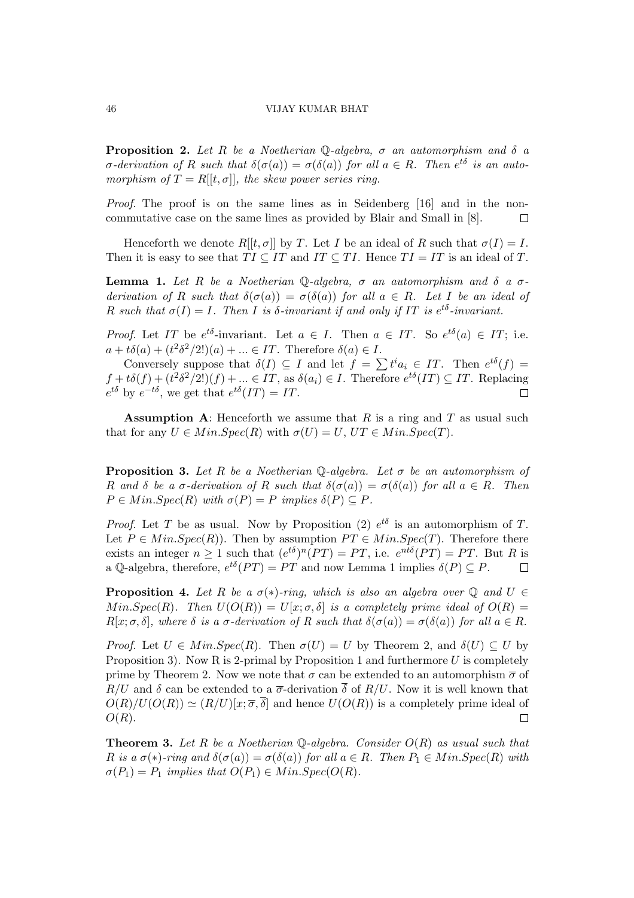### 46 VIJAY KUMAR BHAT

**Proposition 2.** Let R be a Noetherian Q-algebra,  $\sigma$  an automorphism and  $\delta$  a  $\sigma$ -derivation of R such that  $\delta(\sigma(a)) = \sigma(\delta(a))$  for all  $a \in R$ . Then  $e^{t\delta}$  is an automorphism of  $T = R[[t, \sigma]]$ , the skew power series ring.

Proof. The proof is on the same lines as in Seidenberg [16] and in the noncommutative case on the same lines as provided by Blair and Small in [8].  $\Box$ 

Henceforth we denote  $R[[t, \sigma]]$  by T. Let I be an ideal of R such that  $\sigma(I) = I$ . Then it is easy to see that  $TI \subseteq IT$  and  $IT \subseteq TI$ . Hence  $TI = IT$  is an ideal of T.

**Lemma 1.** Let R be a Noetherian Q-algebra,  $\sigma$  an automorphism and  $\delta$  a  $\sigma$ derivation of R such that  $\delta(\sigma(a)) = \sigma(\delta(a))$  for all  $a \in R$ . Let I be an ideal of R such that  $\sigma(I) = I$ . Then I is  $\delta$ -invariant if and only if IT is  $e^{t\delta}$ -invariant.

*Proof.* Let IT be  $e^{t\delta}$ -invariant. Let  $a \in I$ . Then  $a \in IT$ . So  $e^{t\delta}(a) \in IT$ ; i.e.  $a+t\delta(a)+(t^2\delta^2/2!)$  $(a)+... \in IT$ . Therefore  $\delta(a) \in I$ .

Conversely suppose that  $\delta(I) \subseteq I$  and let  $f = \sum t^i a_i \in IT$ . Then  $e^{t\delta}(f) =$  $f + t\delta(f) + (t^2\delta^2/2!)(f) + \dots \in IT$ , as  $\delta(a_i) \in I$ . Therefore  $e^{t\delta}(IT) \subseteq IT$ . Replacing  $e^{t\delta}$  by  $e^{-t\delta}$ , we get that  $e^{t\delta}(IT) = IT$ .  $\Box$ 

**Assumption A:** Henceforth we assume that R is a ring and T as usual such that for any  $U \in Min.Spec(R)$  with  $\sigma(U)=U, UT \in Min.Spec(T)$ .

**Proposition 3.** Let R be a Noetherian Q-algebra. Let  $\sigma$  be an automorphism of R and  $\delta$  be a  $\sigma$ -derivation of R such that  $\delta(\sigma(a)) = \sigma(\delta(a))$  for all  $a \in R$ . Then  $P \in Min.Spec(R)$  with  $\sigma(P) = P$  implies  $\delta(P) \subset P$ .

*Proof.* Let T be as usual. Now by Proposition (2)  $e^{t\delta}$  is an automorphism of T. Let  $P \in Min.Spec(R)$ . Then by assumption  $PT \in Min.Spec(T)$ . Therefore there exists an integer  $n \geq 1$  such that  $(e^{t\delta})^n(PT) = PT$ , i.e.  $e^{nt\delta}(PT) = PT$ . But R is a Q-algebra, therefore,  $e^{t\delta}(PT) = PT$  and now Lemma 1 implies  $\delta(P) \subseteq P$ .  $\Box$ 

**Proposition 4.** Let R be a  $\sigma(*)$ -ring, which is also an algebra over Q and  $U \in$  $Min.Spec(R)$ . Then  $U(O(R))=U[x; \sigma, \delta]$  is a completely prime ideal of  $O(R)$  =  $R[x; \sigma, \delta]$ , where  $\delta$  is a  $\sigma$ -derivation of R such that  $\delta(\sigma(a)) = \sigma(\delta(a))$  for all  $a \in R$ .

Proof. Let  $U \in Min.Spec(R)$ . Then  $\sigma(U)=U$  by Theorem 2, and  $\delta(U) \subseteq U$  by Proposition 3). Now R is 2-primal by Proposition 1 and furthermore  $U$  is completely prime by Theorem 2. Now we note that  $\sigma$  can be extended to an automorphism  $\bar{\sigma}$  of  $R/U$  and  $\delta$  can be extended to a  $\overline{\sigma}$ -derivation  $\overline{\delta}$  of  $R/U$ . Now it is well known that  $O(R)/U(O(R)) \simeq (R/U)[x;\overline{\sigma},\overline{\delta}]$  and hence  $U(O(R))$  is a completely prime ideal of  $O(R)$ .  $\Box$ 

**Theorem 3.** Let R be a Noetherian Q-algebra. Consider  $O(R)$  as usual such that R is a  $\sigma(*)$ -ring and  $\delta(\sigma(a)) = \sigma(\delta(a))$  for all  $a \in R$ . Then  $P_1 \in Min.Spec(R)$  with  $\sigma(P_1) = P_1$  implies that  $O(P_1) \in Min.Spec(O(R))$ .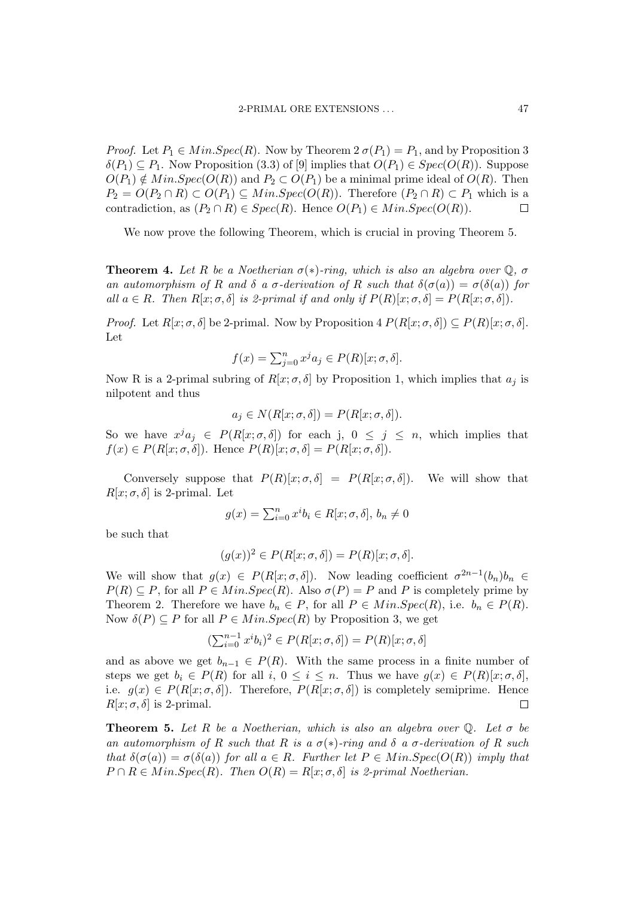*Proof.* Let  $P_1 \in Min.Spec(R)$ . Now by Theorem  $2 \sigma(P_1)=P_1$ , and by Proposition 3  $\delta(P_1) \subseteq P_1$ . Now Proposition (3.3) of [9] implies that  $O(P_1) \in Spec(O(R))$ . Suppose  $O(P_1) \notin Min.Spec(O(R))$  and  $P_2 \subset O(P_1)$  be a minimal prime ideal of  $O(R)$ . Then  $P_2 = O(P_2 \cap R) \subset O(P_1) \subseteq Min.Spec(O(R))$ . Therefore  $(P_2 \cap R) \subset P_1$  which is a contradiction, as  $(P_2 \cap R) \in Spec(R)$ . Hence  $O(P_1) \in Min.Spec(O(R))$ .  $\Box$ 

We now prove the following Theorem, which is crucial in proving Theorem 5.

**Theorem 4.** Let R be a Noetherian  $\sigma(*)$ -ring, which is also an algebra over  $\mathbb{Q}$ ,  $\sigma$ an automorphism of R and  $\delta$  a  $\sigma$ -derivation of R such that  $\delta(\sigma(a)) = \sigma(\delta(a))$  for all  $a \in R$ . Then  $R[x; \sigma, \delta]$  is 2-primal if and only if  $P(R)[x; \sigma, \delta] = P(R[x; \sigma, \delta])$ .

*Proof.* Let  $R[x; \sigma, \delta]$  be 2-primal. Now by Proposition 4  $P(R[x; \sigma, \delta]) \subset P(R)[x; \sigma, \delta]$ . Let

$$
f(x) = \sum_{j=0}^{n} x^{j} a_j \in P(R)[x; \sigma, \delta].
$$

Now R is a 2-primal subring of  $R[x; \sigma, \delta]$  by Proposition 1, which implies that  $a_i$  is nilpotent and thus

$$
a_j \in N(R[x; \sigma, \delta]) = P(R[x; \sigma, \delta]).
$$

So we have  $x^j a_j \in P(R[x; \sigma, \delta])$  for each j,  $0 \leq j \leq n$ , which implies that  $f(x) \in P(R[x; \sigma, \delta])$ . Hence  $P(R)[x; \sigma, \delta] = P(R[x; \sigma, \delta])$ .

Conversely suppose that  $P(R)[x;\sigma,\delta] = P(R[x;\sigma,\delta])$ . We will show that  $R[x; \sigma, \delta]$  is 2-primal. Let

$$
g(x) = \sum_{i=0}^{n} x^i b_i \in R[x; \sigma, \delta], b_n \neq 0
$$

be such that

$$
(g(x))^2 \in P(R[x; \sigma, \delta]) = P(R)[x; \sigma, \delta].
$$

We will show that  $g(x) \in P(R[x; \sigma, \delta])$ . Now leading coefficient  $\sigma^{2n-1}(b_n)b_n \in$  $P(R) \subseteq P$ , for all  $P \in Min.Spec(R)$ . Also  $\sigma(P) = P$  and P is completely prime by Theorem 2. Therefore we have  $b_n \in P$ , for all  $P \in Min.Spec(R)$ , i.e.  $b_n \in P(R)$ . Now  $\delta(P) \subseteq P$  for all  $P \in Min.Spec(R)$  by Proposition 3, we get

$$
(\sum_{i=0}^{n-1} x^i b_i)^2 \in P(R[x; \sigma, \delta]) = P(R)[x; \sigma, \delta]
$$

and as above we get  $b_{n-1} \in P(R)$ . With the same process in a finite number of steps we get  $b_i \in P(R)$  for all  $i, 0 \le i \le n$ . Thus we have  $g(x) \in P(R)[x; \sigma, \delta]$ , i.e.  $g(x) \in P(R[x; \sigma, \delta])$ . Therefore,  $P(R[x; \sigma, \delta])$  is completely semiprime. Hence  $R[x; \sigma, \delta]$  is 2-primal.  $\Box$ 

**Theorem 5.** Let R be a Noetherian, which is also an algebra over  $\mathbb{Q}$ . Let  $\sigma$  be an automorphism of R such that R is a  $\sigma(*)$ -ring and  $\delta$  a  $\sigma$ -derivation of R such that  $\delta(\sigma(a)) = \sigma(\delta(a))$  for all  $a \in R$ . Further let  $P \in Min.Spec(O(R))$  imply that  $P \cap R \in Min.Spec(R)$ . Then  $O(R)=R[x;\sigma,\delta]$  is 2-primal Noetherian.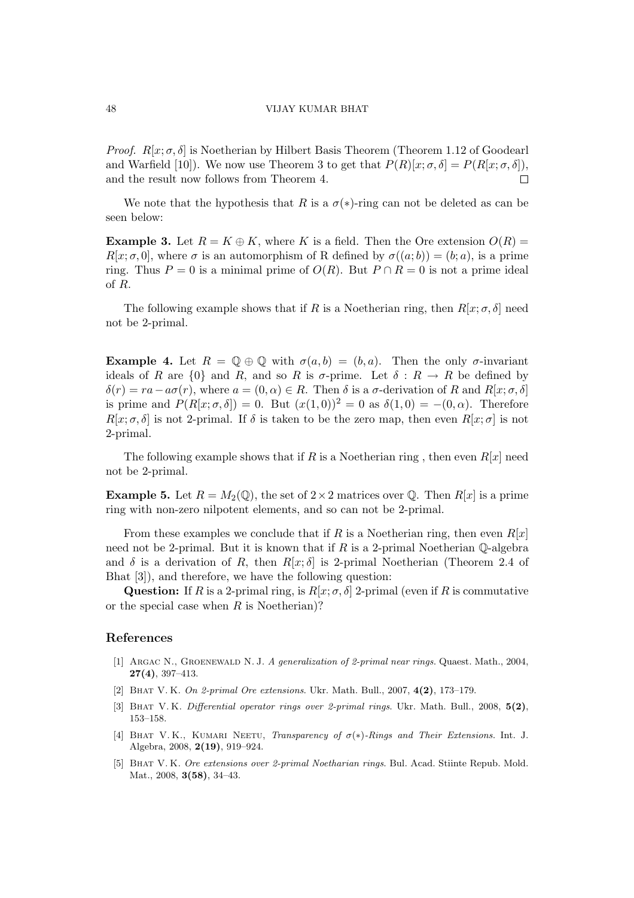#### 48 VIJAY KUMAR BHAT

*Proof.*  $R[x; \sigma, \delta]$  is Noetherian by Hilbert Basis Theorem (Theorem 1.12 of Goodearl and Warfield [10]). We now use Theorem 3 to get that  $P(R)[x; \sigma, \delta] = P(R[x; \sigma, \delta])$ , and the result now follows from Theorem 4.  $\Box$ 

We note that the hypothesis that R is a  $\sigma(*)$ -ring can not be deleted as can be seen below:

**Example 3.** Let  $R = K \oplus K$ , where K is a field. Then the Ore extension  $O(R)$  $R[x; \sigma, 0]$ , where  $\sigma$  is an automorphism of R defined by  $\sigma((a;b)) = (b;a)$ , is a prime ring. Thus P = 0 is a minimal prime of  $O(R)$ . But  $P \cap R = 0$  is not a prime ideal of R.

The following example shows that if R is a Noetherian ring, then  $R[x; \sigma, \delta]$  need not be 2-primal.

**Example 4.** Let  $R = \mathbb{Q} \oplus \mathbb{Q}$  with  $\sigma(a, b) = (b, a)$ . Then the only  $\sigma$ -invariant ideals of R are  $\{0\}$  and R, and so R is  $\sigma$ -prime. Let  $\delta: R \to R$  be defined by  $\delta(r) = ra - a\sigma(r)$ , where  $a = (0, \alpha) \in R$ . Then  $\delta$  is a  $\sigma$ -derivation of R and  $R[x; \sigma, \delta]$ is prime and  $P(R[x; \sigma, \delta]) = 0$ . But  $(x(1, 0))^2 = 0$  as  $\delta(1, 0) = -(0, \alpha)$ . Therefore  $R[x; \sigma, \delta]$  is not 2-primal. If  $\delta$  is taken to be the zero map, then even  $R[x; \sigma]$  is not 2-primal.

The following example shows that if R is a Noetherian ring, then even  $R[x]$  need not be 2-primal.

**Example 5.** Let  $R = M_2(\mathbb{Q})$ , the set of  $2 \times 2$  matrices over  $\mathbb{Q}$ . Then  $R[x]$  is a prime ring with non-zero nilpotent elements, and so can not be 2-primal.

From these examples we conclude that if R is a Noetherian ring, then even  $R[x]$ need not be 2-primal. But it is known that if  $R$  is a 2-primal Noetherian  $\mathbb Q$ -algebra and  $\delta$  is a derivation of R, then  $R[x;\delta]$  is 2-primal Noetherian (Theorem 2.4 of Bhat [3]), and therefore, we have the following question:

Question: If R is a 2-primal ring, is  $R[x; \sigma, \delta]$  2-primal (even if R is commutative or the special case when  $R$  is Noetherian)?

### References

- [1] Argac N., Groenewald N. J. A generalization of 2-primal near rings. Quaest. Math., 2004, 27(4), 397–413.
- [2] BHAT V. K. On 2-primal Ore extensions. Ukr. Math. Bull., 2007, 4(2), 173–179.
- [3] BHAT V.K. Differential operator rings over 2-primal rings. Ukr. Math. Bull., 2008, 5(2), 153–158.
- [4] BHAT V. K., KUMARI NEETU, Transparency of  $\sigma(*)$ -Rings and Their Extensions. Int. J. Algebra, 2008, 2(19), 919–924.
- [5] Bhat V. K. Ore extensions over 2-primal Noetharian rings. Bul. Acad. Stiinte Repub. Mold. Mat., 2008, **3(58)**, 34-43.